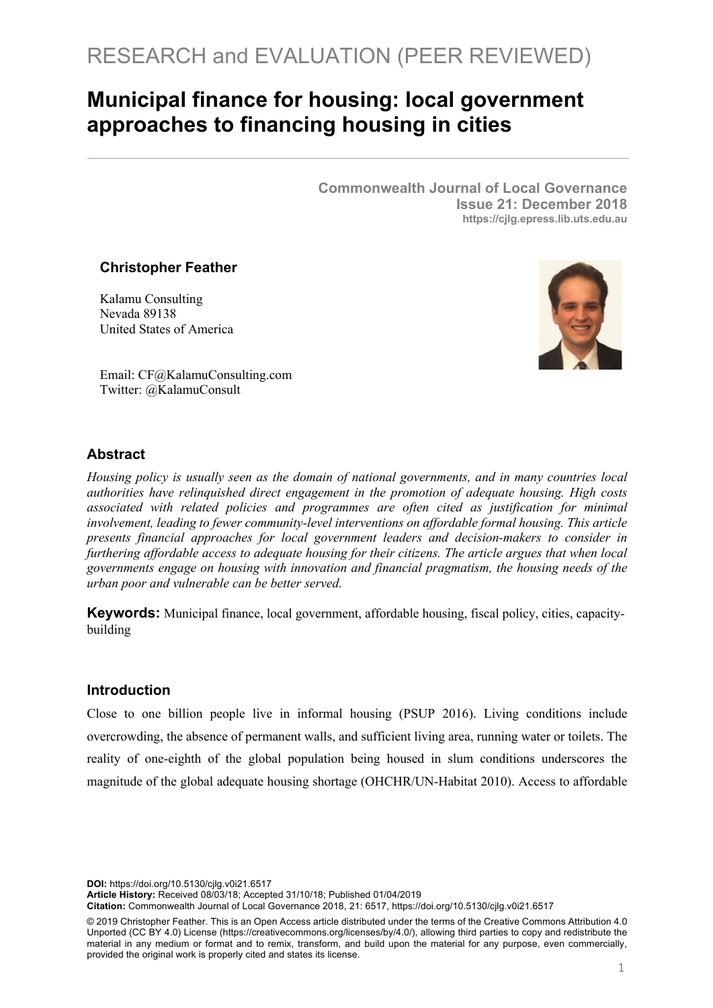# **Municipal finance for housing: local government approaches to financing housing in cities**

**Commonwealth Journal of Local Governance Issue 21: December 2018 https://cjlg.epress.lib.uts.edu.au**

## **Christopher Feather**

Kalamu Consulting Nevada 89138 United States of America



Email: CF@KalamuConsulting.com Twitter: @KalamuConsult

## **Abstract**

*Housing policy is usually seen as the domain of national governments, and in many countries local authorities have relinquished direct engagement in the promotion of adequate housing. High costs associated with related policies and programmes are often cited as justification for minimal involvement, leading to fewer community-level interventions on affordable formal housing. This article presents financial approaches for local government leaders and decision-makers to consider in furthering affordable access to adequate housing for their citizens. The article argues that when local governments engage on housing with innovation and financial pragmatism, the housing needs of the urban poor and vulnerable can be better served.*

**Keywords:** Municipal finance, local government, affordable housing, fiscal policy, cities, capacitybuilding

#### **Introduction**

Close to one billion people live in informal housing (PSUP 2016). Living conditions include overcrowding, the absence of permanent walls, and sufficient living area, running water or toilets. The reality of one-eighth of the global population being housed in slum conditions underscores the magnitude of the global adequate housing shortage (OHCHR/UN-Habitat 2010). Access to affordable

**DOI:** https://doi.org/10.5130/cjlg.v0i21.6517

**Article History:** Received 08/03/18; Accepted 31/10/18; Published 01/04/2019

**Citation:** Commonwealth Journal of Local Governance 2018, 21: 6517, https://doi.org/10.5130/cjlg.v0i21.6517

© 2019 Christopher Feather. This is an Open Access article distributed under the terms of the Creative Commons Attribution 4.0 Unported (CC BY 4.0) License (https://creativecommons.org/licenses/by/4.0/), allowing third parties to copy and redistribute the material in any medium or format and to remix, transform, and build upon the material for any purpose, even commercially, provided the original work is properly cited and states its license.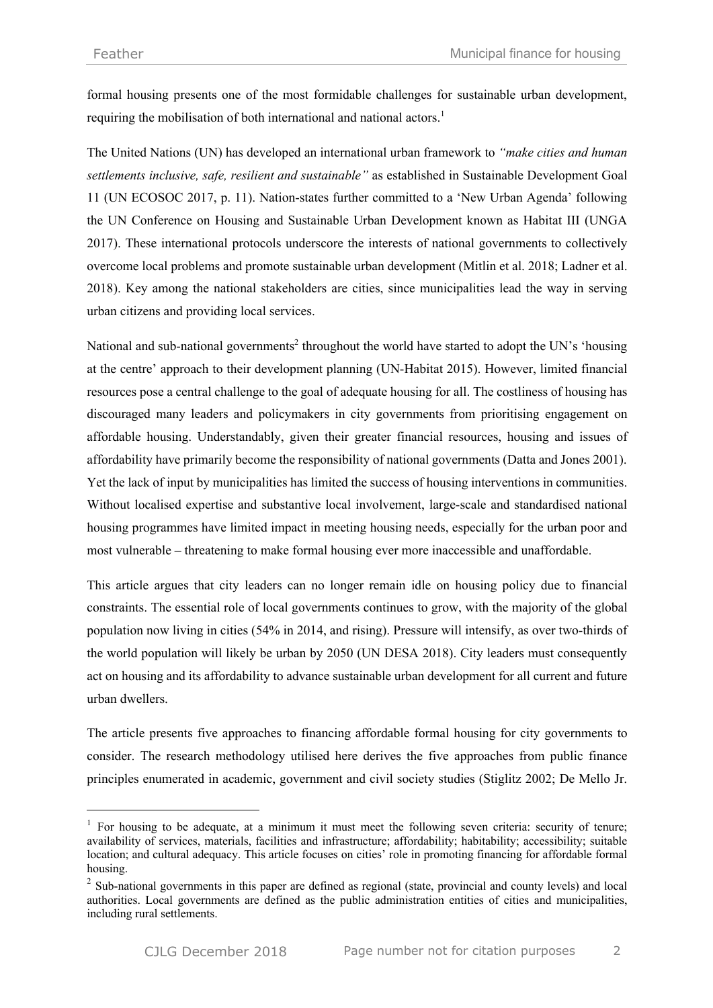formal housing presents one of the most formidable challenges for sustainable urban development, requiring the mobilisation of both international and national actors.<sup>1</sup>

The United Nations (UN) has developed an international urban framework to *"make cities and human settlements inclusive, safe, resilient and sustainable"* as established in Sustainable Development Goal 11 (UN ECOSOC 2017, p. 11). Nation-states further committed to a 'New Urban Agenda' following the UN Conference on Housing and Sustainable Urban Development known as Habitat III (UNGA 2017). These international protocols underscore the interests of national governments to collectively overcome local problems and promote sustainable urban development (Mitlin et al. 2018; Ladner et al. 2018). Key among the national stakeholders are cities, since municipalities lead the way in serving urban citizens and providing local services.

National and sub-national governments<sup>2</sup> throughout the world have started to adopt the UN's 'housing at the centre' approach to their development planning (UN-Habitat 2015). However, limited financial resources pose a central challenge to the goal of adequate housing for all. The costliness of housing has discouraged many leaders and policymakers in city governments from prioritising engagement on affordable housing. Understandably, given their greater financial resources, housing and issues of affordability have primarily become the responsibility of national governments (Datta and Jones 2001). Yet the lack of input by municipalities has limited the success of housing interventions in communities. Without localised expertise and substantive local involvement, large-scale and standardised national housing programmes have limited impact in meeting housing needs, especially for the urban poor and most vulnerable – threatening to make formal housing ever more inaccessible and unaffordable.

This article argues that city leaders can no longer remain idle on housing policy due to financial constraints. The essential role of local governments continues to grow, with the majority of the global population now living in cities (54% in 2014, and rising). Pressure will intensify, as over two-thirds of the world population will likely be urban by 2050 (UN DESA 2018). City leaders must consequently act on housing and its affordability to advance sustainable urban development for all current and future urban dwellers.

The article presents five approaches to financing affordable formal housing for city governments to consider. The research methodology utilised here derives the five approaches from public finance principles enumerated in academic, government and civil society studies (Stiglitz 2002; De Mello Jr.

<sup>&</sup>lt;sup>1</sup> For housing to be adequate, at a minimum it must meet the following seven criteria: security of tenure; availability of services, materials, facilities and infrastructure; affordability; habitability; accessibility; suitable location; and cultural adequacy. This article focuses on cities' role in promoting financing for affordable formal housing.

<sup>&</sup>lt;sup>2</sup> Sub-national governments in this paper are defined as regional (state, provincial and county levels) and local authorities. Local governments are defined as the public administration entities of cities and municipalities, including rural settlements.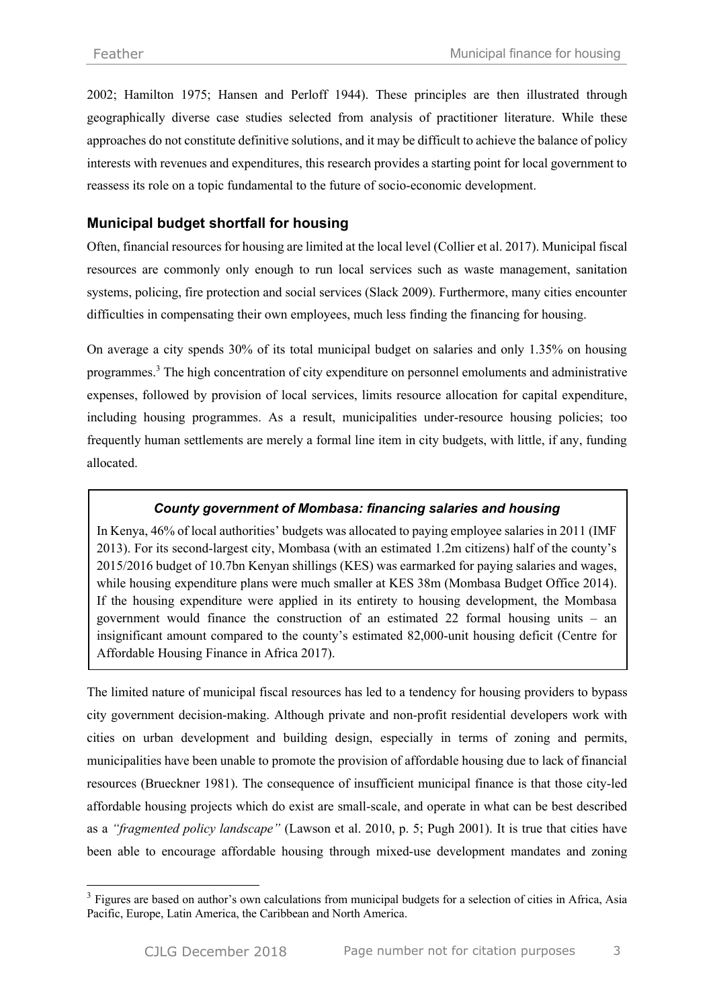2002; Hamilton 1975; Hansen and Perloff 1944). These principles are then illustrated through geographically diverse case studies selected from analysis of practitioner literature. While these approaches do not constitute definitive solutions, and it may be difficult to achieve the balance of policy interests with revenues and expenditures, this research provides a starting point for local government to reassess its role on a topic fundamental to the future of socio-economic development.

# **Municipal budget shortfall for housing**

Often, financial resources for housing are limited at the local level (Collier et al. 2017). Municipal fiscal resources are commonly only enough to run local services such as waste management, sanitation systems, policing, fire protection and social services (Slack 2009). Furthermore, many cities encounter difficulties in compensating their own employees, much less finding the financing for housing.

On average a city spends 30% of its total municipal budget on salaries and only 1.35% on housing programmes.<sup>3</sup> The high concentration of city expenditure on personnel emoluments and administrative expenses, followed by provision of local services, limits resource allocation for capital expenditure, including housing programmes. As a result, municipalities under-resource housing policies; too frequently human settlements are merely a formal line item in city budgets, with little, if any, funding allocated.

## *County government of Mombasa: financing salaries and housing*

In Kenya, 46% of local authorities' budgets was allocated to paying employee salaries in 2011 (IMF 2013). For its second-largest city, Mombasa (with an estimated 1.2m citizens) half of the county's 2015/2016 budget of 10.7bn Kenyan shillings (KES) was earmarked for paying salaries and wages, while housing expenditure plans were much smaller at KES 38m (Mombasa Budget Office 2014). If the housing expenditure were applied in its entirety to housing development, the Mombasa government would finance the construction of an estimated 22 formal housing units – an insignificant amount compared to the county's estimated 82,000-unit housing deficit (Centre for Affordable Housing Finance in Africa 2017).

The limited nature of municipal fiscal resources has led to a tendency for housing providers to bypass city government decision-making. Although private and non-profit residential developers work with cities on urban development and building design, especially in terms of zoning and permits, municipalities have been unable to promote the provision of affordable housing due to lack of financial resources (Brueckner 1981). The consequence of insufficient municipal finance is that those city-led affordable housing projects which do exist are small-scale, and operate in what can be best described as a *"fragmented policy landscape"* (Lawson et al. 2010, p. 5; Pugh 2001). It is true that cities have been able to encourage affordable housing through mixed-use development mandates and zoning

<sup>&</sup>lt;sup>3</sup> Figures are based on author's own calculations from municipal budgets for a selection of cities in Africa, Asia Pacific, Europe, Latin America, the Caribbean and North America.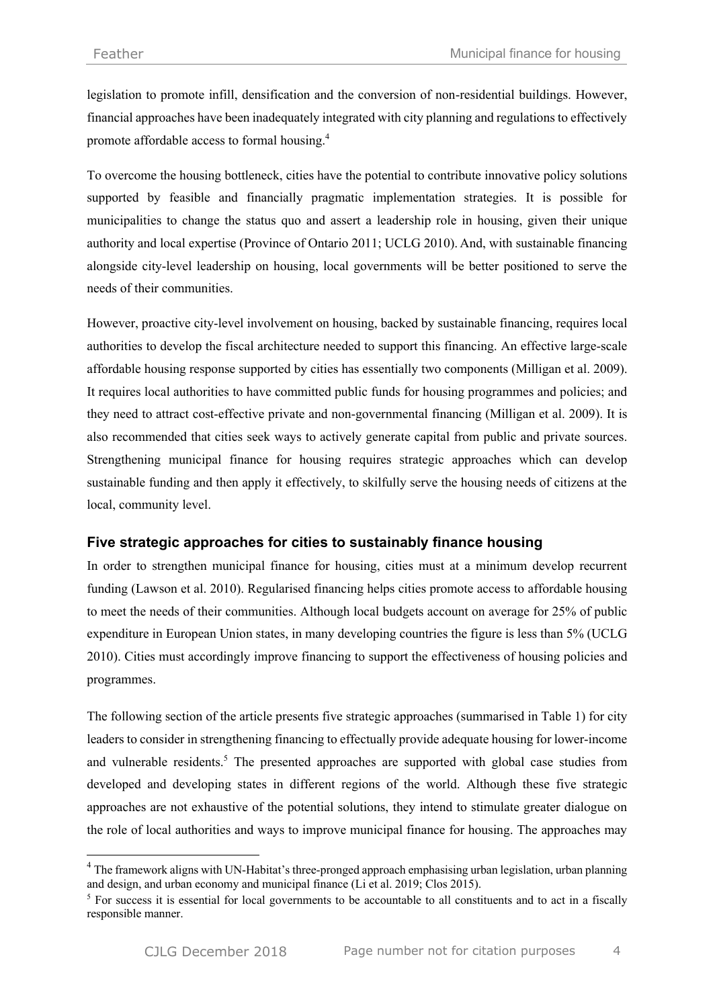legislation to promote infill, densification and the conversion of non-residential buildings. However, financial approaches have been inadequately integrated with city planning and regulations to effectively promote affordable access to formal housing.4

To overcome the housing bottleneck, cities have the potential to contribute innovative policy solutions supported by feasible and financially pragmatic implementation strategies. It is possible for municipalities to change the status quo and assert a leadership role in housing, given their unique authority and local expertise (Province of Ontario 2011; UCLG 2010). And, with sustainable financing alongside city-level leadership on housing, local governments will be better positioned to serve the needs of their communities.

However, proactive city-level involvement on housing, backed by sustainable financing, requires local authorities to develop the fiscal architecture needed to support this financing. An effective large-scale affordable housing response supported by cities has essentially two components (Milligan et al. 2009). It requires local authorities to have committed public funds for housing programmes and policies; and they need to attract cost-effective private and non-governmental financing (Milligan et al. 2009). It is also recommended that cities seek ways to actively generate capital from public and private sources. Strengthening municipal finance for housing requires strategic approaches which can develop sustainable funding and then apply it effectively, to skilfully serve the housing needs of citizens at the local, community level.

## **Five strategic approaches for cities to sustainably finance housing**

In order to strengthen municipal finance for housing, cities must at a minimum develop recurrent funding (Lawson et al. 2010). Regularised financing helps cities promote access to affordable housing to meet the needs of their communities. Although local budgets account on average for 25% of public expenditure in European Union states, in many developing countries the figure is less than 5% (UCLG 2010). Cities must accordingly improve financing to support the effectiveness of housing policies and programmes.

The following section of the article presents five strategic approaches (summarised in Table 1) for city leaders to consider in strengthening financing to effectually provide adequate housing for lower-income and vulnerable residents.<sup>5</sup> The presented approaches are supported with global case studies from developed and developing states in different regions of the world. Although these five strategic approaches are not exhaustive of the potential solutions, they intend to stimulate greater dialogue on the role of local authorities and ways to improve municipal finance for housing. The approaches may

 $\overline{a}$ 

<sup>&</sup>lt;sup>4</sup> The framework aligns with UN-Habitat's three-pronged approach emphasising urban legislation, urban planning and design, and urban economy and municipal finance (Li et al. 2019; Clos 2015).

<sup>&</sup>lt;sup>5</sup> For success it is essential for local governments to be accountable to all constituents and to act in a fiscally responsible manner.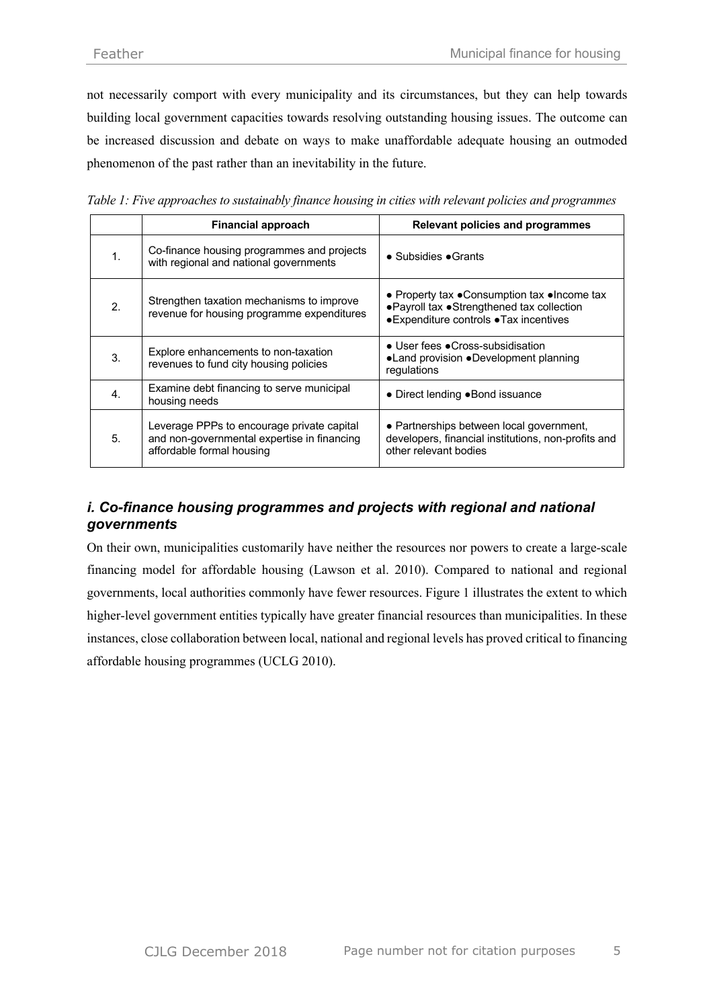not necessarily comport with every municipality and its circumstances, but they can help towards building local government capacities towards resolving outstanding housing issues. The outcome can be increased discussion and debate on ways to make unaffordable adequate housing an outmoded phenomenon of the past rather than an inevitability in the future.

|  |  | Table 1: Five approaches to sustainably finance housing in cities with relevant policies and programmes |  |  |  |  |
|--|--|---------------------------------------------------------------------------------------------------------|--|--|--|--|
|  |  |                                                                                                         |  |  |  |  |

|                             | <b>Financial approach</b>                                                                                              | <b>Relevant policies and programmes</b>                                                                                                 |  |  |  |
|-----------------------------|------------------------------------------------------------------------------------------------------------------------|-----------------------------------------------------------------------------------------------------------------------------------------|--|--|--|
| 1.                          | Co-finance housing programmes and projects<br>with regional and national governments                                   | $\bullet$ Subsidies $\bullet$ Grants                                                                                                    |  |  |  |
| $\mathcal{L}_{\mathcal{L}}$ | Strengthen taxation mechanisms to improve<br>revenue for housing programme expenditures                                | • Property tax • Consumption tax • Income tax<br>• Payroll tax • Strengthened tax collection<br>• Expenditure controls • Tax incentives |  |  |  |
| 3.                          | Explore enhancements to non-taxation<br>revenues to fund city housing policies                                         | • User fees • Cross-subsidisation<br>•Land provision •Development planning<br>regulations                                               |  |  |  |
| $\mathbf{4}$                | Examine debt financing to serve municipal<br>housing needs                                                             | • Direct lending • Bond issuance                                                                                                        |  |  |  |
| 5.                          | Leverage PPPs to encourage private capital<br>and non-governmental expertise in financing<br>affordable formal housing | • Partnerships between local government,<br>developers, financial institutions, non-profits and<br>other relevant bodies                |  |  |  |

# *i. Co-finance housing programmes and projects with regional and national governments*

On their own, municipalities customarily have neither the resources nor powers to create a large-scale financing model for affordable housing (Lawson et al. 2010). Compared to national and regional governments, local authorities commonly have fewer resources. Figure 1 illustrates the extent to which higher-level government entities typically have greater financial resources than municipalities. In these instances, close collaboration between local, national and regional levels has proved critical to financing affordable housing programmes (UCLG 2010).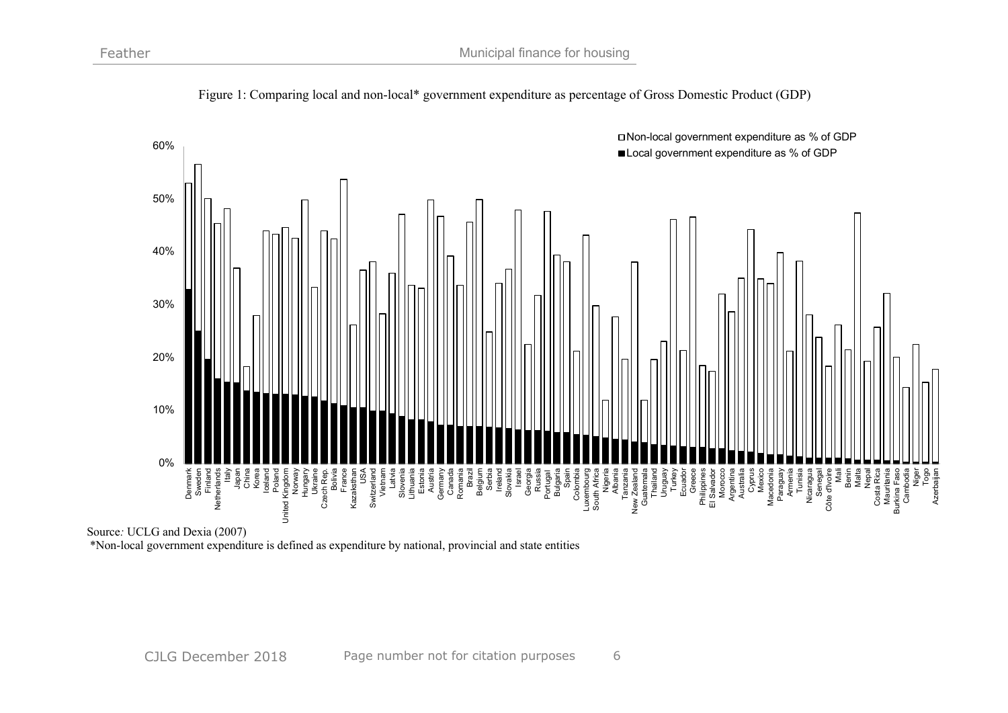

Figure 1: Comparing local and non-local\* government expenditure as percentage of Gross Domestic Product (GDP)

Source*:* UCLG and Dexia (2007) \*Non-local government expenditure is defined as expenditure by national, provincial and state entities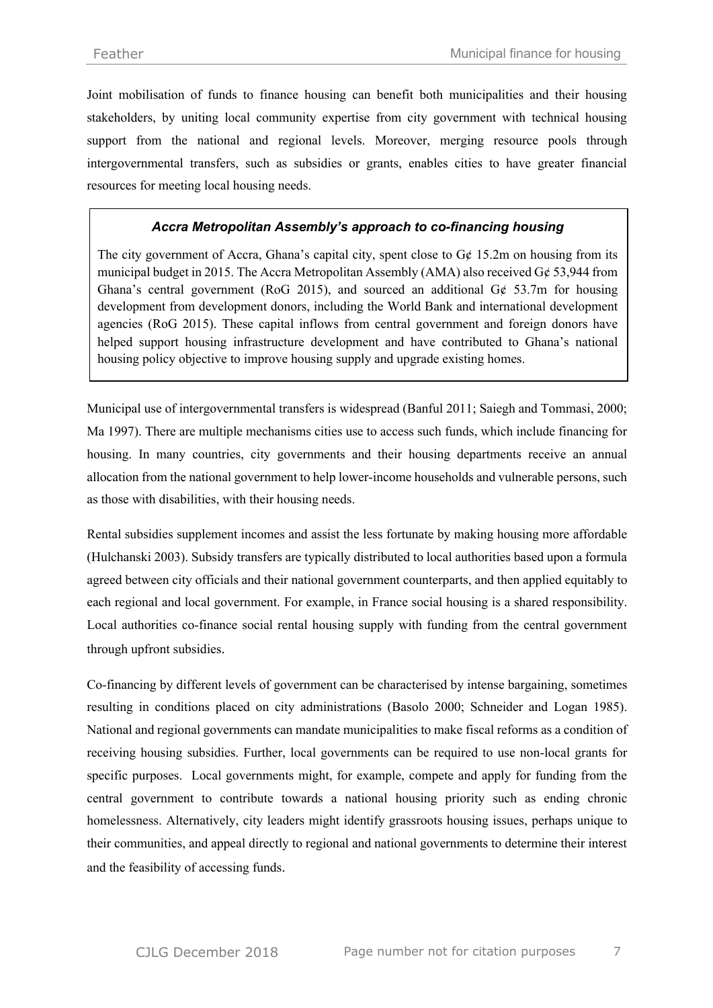Joint mobilisation of funds to finance housing can benefit both municipalities and their housing stakeholders, by uniting local community expertise from city government with technical housing support from the national and regional levels. Moreover, merging resource pools through intergovernmental transfers, such as subsidies or grants, enables cities to have greater financial resources for meeting local housing needs.

## *Accra Metropolitan Assembly's approach to co-financing housing*

The city government of Accra, Ghana's capital city, spent close to  $G\phi$  15.2m on housing from its municipal budget in 2015. The Accra Metropolitan Assembly (AMA) also received G¢ 53,944 from Ghana's central government (RoG 2015), and sourced an additional  $G\phi$  53.7m for housing development from development donors, including the World Bank and international development agencies (RoG 2015). These capital inflows from central government and foreign donors have helped support housing infrastructure development and have contributed to Ghana's national housing policy objective to improve housing supply and upgrade existing homes.

Municipal use of intergovernmental transfers is widespread (Banful 2011; Saiegh and Tommasi, 2000; Ma 1997). There are multiple mechanisms cities use to access such funds, which include financing for housing. In many countries, city governments and their housing departments receive an annual allocation from the national government to help lower-income households and vulnerable persons, such as those with disabilities, with their housing needs.

Rental subsidies supplement incomes and assist the less fortunate by making housing more affordable (Hulchanski 2003). Subsidy transfers are typically distributed to local authorities based upon a formula agreed between city officials and their national government counterparts, and then applied equitably to each regional and local government. For example, in France social housing is a shared responsibility. Local authorities co-finance social rental housing supply with funding from the central government through upfront subsidies.

Co-financing by different levels of government can be characterised by intense bargaining, sometimes resulting in conditions placed on city administrations (Basolo 2000; Schneider and Logan 1985). National and regional governments can mandate municipalities to make fiscal reforms as a condition of receiving housing subsidies. Further, local governments can be required to use non-local grants for specific purposes. Local governments might, for example, compete and apply for funding from the central government to contribute towards a national housing priority such as ending chronic homelessness. Alternatively, city leaders might identify grassroots housing issues, perhaps unique to their communities, and appeal directly to regional and national governments to determine their interest and the feasibility of accessing funds.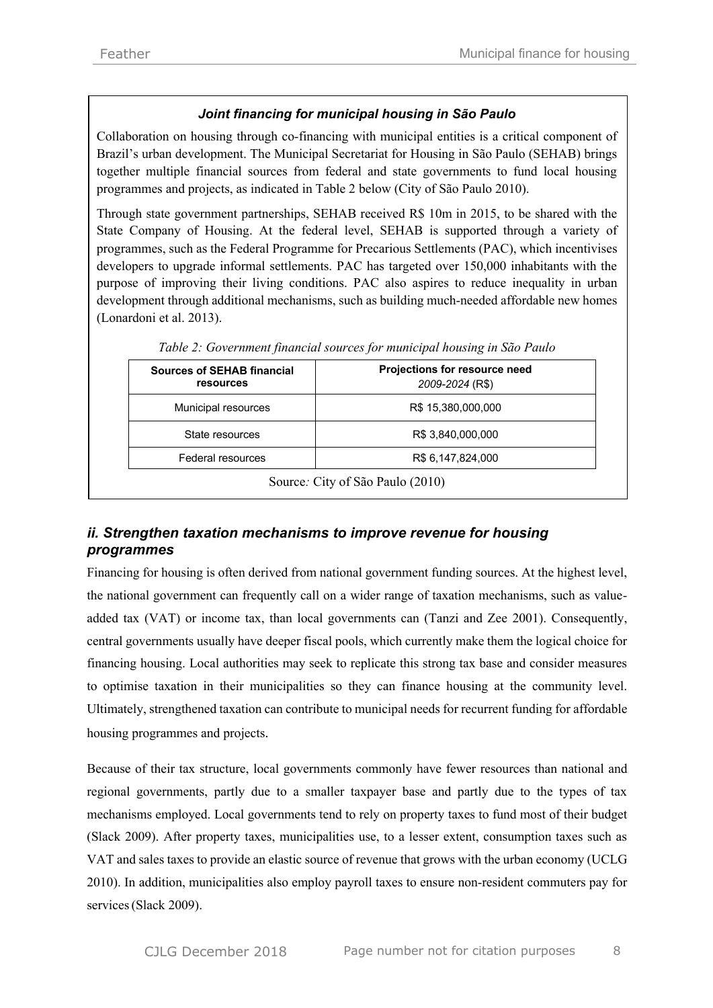## *Joint financing for municipal housing in São Paulo*

Collaboration on housing through co-financing with municipal entities is a critical component of Brazil's urban development. The Municipal Secretariat for Housing in São Paulo (SEHAB) brings together multiple financial sources from federal and state governments to fund local housing programmes and projects, as indicated in Table 2 below (City of São Paulo 2010).

Through state government partnerships, SEHAB received R\$ 10m in 2015, to be shared with the State Company of Housing. At the federal level, SEHAB is supported through a variety of programmes, such as the Federal Programme for Precarious Settlements (PAC), which incentivises developers to upgrade informal settlements. PAC has targeted over 150,000 inhabitants with the purpose of improving their living conditions. PAC also aspires to reduce inequality in urban development through additional mechanisms, such as building much-needed affordable new homes (Lonardoni et al. 2013).

| <b>Sources of SEHAB financial</b><br>resources | <b>Projections for resource need</b><br>2009-2024 (R\$) |  |  |
|------------------------------------------------|---------------------------------------------------------|--|--|
| Municipal resources                            | R\$ 15,380,000,000                                      |  |  |
| State resources                                | R\$ 3,840,000,000                                       |  |  |
| Federal resources                              | R\$ 6,147,824,000                                       |  |  |

*Table 2: Government financial sources for municipal housing in São Paulo*

# *ii. Strengthen taxation mechanisms to improve revenue for housing programmes*

Financing for housing is often derived from national government funding sources. At the highest level, the national government can frequently call on a wider range of taxation mechanisms, such as valueadded tax (VAT) or income tax, than local governments can (Tanzi and Zee 2001). Consequently, central governments usually have deeper fiscal pools, which currently make them the logical choice for financing housing. Local authorities may seek to replicate this strong tax base and consider measures to optimise taxation in their municipalities so they can finance housing at the community level. Ultimately, strengthened taxation can contribute to municipal needs for recurrent funding for affordable housing programmes and projects.

Because of their tax structure, local governments commonly have fewer resources than national and regional governments, partly due to a smaller taxpayer base and partly due to the types of tax mechanisms employed. Local governments tend to rely on property taxes to fund most of their budget (Slack 2009). After property taxes, municipalities use, to a lesser extent, consumption taxes such as VAT and sales taxes to provide an elastic source of revenue that grows with the urban economy (UCLG 2010). In addition, municipalities also employ payroll taxes to ensure non-resident commuters pay for services(Slack 2009).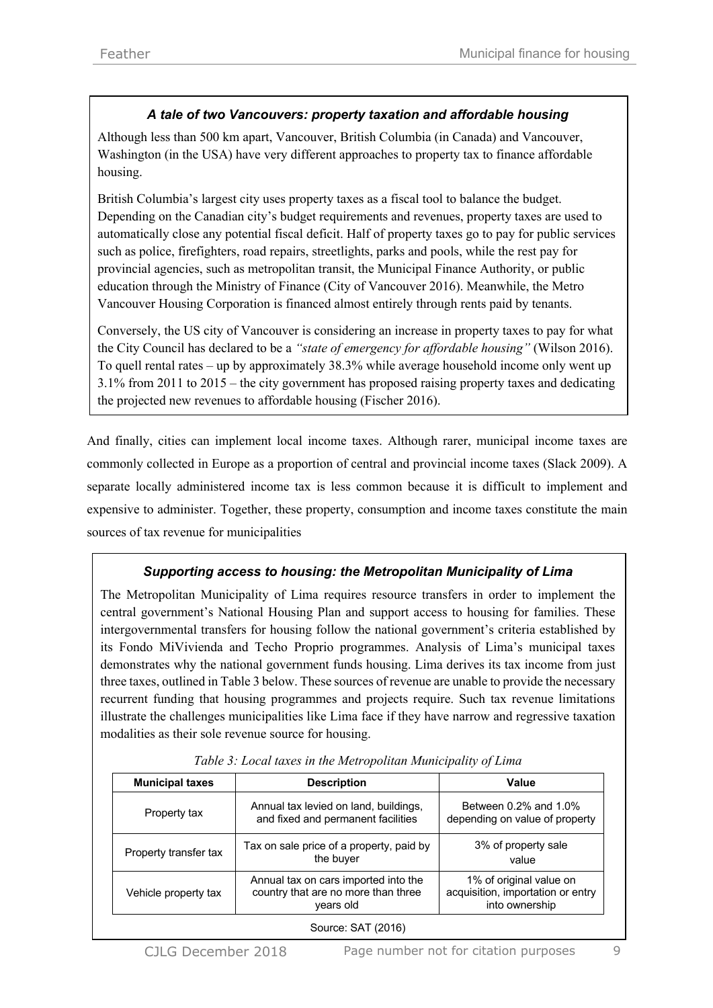## *A tale of two Vancouvers: property taxation and affordable housing*

Although less than 500 km apart, Vancouver, British Columbia (in Canada) and Vancouver, Washington (in the USA) have very different approaches to property tax to finance affordable housing.

British Columbia's largest city uses property taxes as a fiscal tool to balance the budget. Depending on the Canadian city's budget requirements and revenues, property taxes are used to automatically close any potential fiscal deficit. Half of property taxes go to pay for public services such as police, firefighters, road repairs, streetlights, parks and pools, while the rest pay for provincial agencies, such as metropolitan transit, the Municipal Finance Authority, or public education through the Ministry of Finance (City of Vancouver 2016). Meanwhile, the Metro Vancouver Housing Corporation is financed almost entirely through rents paid by tenants.

Conversely, the US city of Vancouver is considering an increase in property taxes to pay for what the City Council has declared to be a *"state of emergency for affordable housing"* (Wilson 2016). To quell rental rates – up by approximately 38.3% while average household income only went up 3.1% from 2011 to 2015 – the city government has proposed raising property taxes and dedicating the projected new revenues to affordable housing (Fischer 2016).

And finally, cities can implement local income taxes. Although rarer, municipal income taxes are commonly collected in Europe as a proportion of central and provincial income taxes (Slack 2009). A separate locally administered income tax is less common because it is difficult to implement and expensive to administer. Together, these property, consumption and income taxes constitute the main sources of tax revenue for municipalities

# *Supporting access to housing: the Metropolitan Municipality of Lima*

The Metropolitan Municipality of Lima requires resource transfers in order to implement the central government's National Housing Plan and support access to housing for families. These intergovernmental transfers for housing follow the national government's criteria established by its Fondo MiVivienda and Techo Proprio programmes. Analysis of Lima's municipal taxes demonstrates why the national government funds housing. Lima derives its tax income from just three taxes, outlined in Table 3 below. These sources of revenue are unable to provide the necessary recurrent funding that housing programmes and projects require. Such tax revenue limitations illustrate the challenges municipalities like Lima face if they have narrow and regressive taxation modalities as their sole revenue source for housing.

| <b>Municipal taxes</b> | <b>Description</b>                                                                       | Value                                                                          |  |  |  |
|------------------------|------------------------------------------------------------------------------------------|--------------------------------------------------------------------------------|--|--|--|
| Property tax           | Annual tax levied on land, buildings,<br>and fixed and permanent facilities              | Between $0.2\%$ and $1.0\%$<br>depending on value of property                  |  |  |  |
| Property transfer tax  | Tax on sale price of a property, paid by<br>the buyer                                    | 3% of property sale<br>value                                                   |  |  |  |
| Vehicle property tax   | Annual tax on cars imported into the<br>country that are no more than three<br>years old | 1% of original value on<br>acquisition, importation or entry<br>into ownership |  |  |  |
| Source: SAT (2016)     |                                                                                          |                                                                                |  |  |  |

*Table 3: Local taxes in the Metropolitan Municipality of Lima*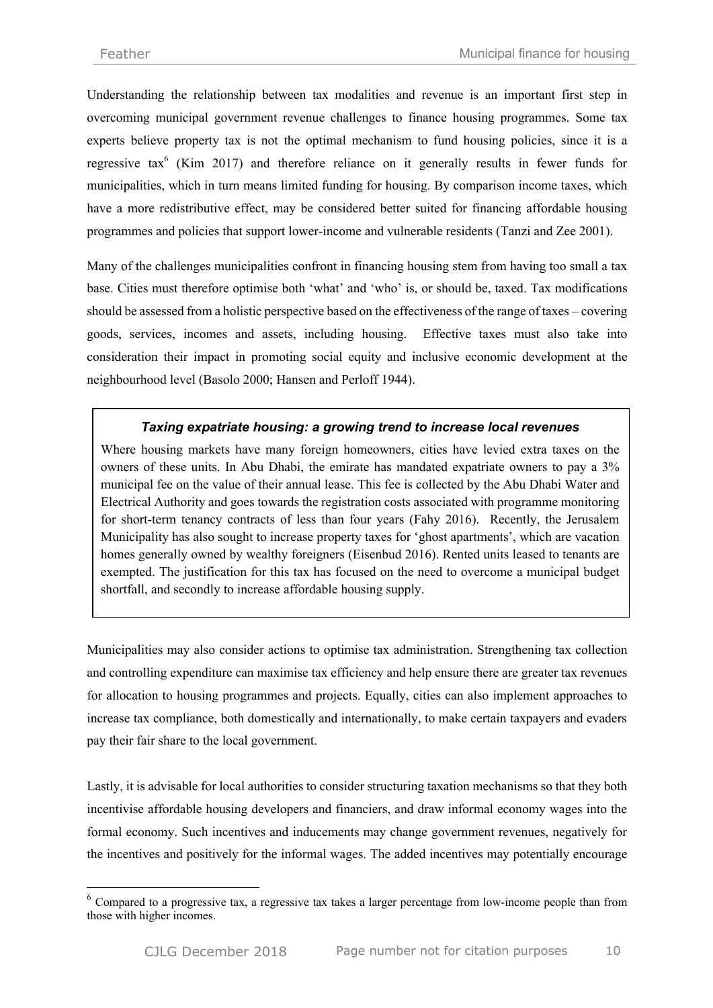$\overline{a}$ 

Understanding the relationship between tax modalities and revenue is an important first step in overcoming municipal government revenue challenges to finance housing programmes. Some tax experts believe property tax is not the optimal mechanism to fund housing policies, since it is a regressive tax<sup>6</sup> (Kim 2017) and therefore reliance on it generally results in fewer funds for municipalities, which in turn means limited funding for housing. By comparison income taxes, which have a more redistributive effect, may be considered better suited for financing affordable housing programmes and policies that support lower-income and vulnerable residents (Tanzi and Zee 2001).

Many of the challenges municipalities confront in financing housing stem from having too small a tax base. Cities must therefore optimise both 'what' and 'who' is, or should be, taxed. Tax modifications should be assessed from a holistic perspective based on the effectiveness of the range of taxes – covering goods, services, incomes and assets, including housing. Effective taxes must also take into consideration their impact in promoting social equity and inclusive economic development at the neighbourhood level (Basolo 2000; Hansen and Perloff 1944).

## *Taxing expatriate housing: a growing trend to increase local revenues*

Where housing markets have many foreign homeowners, cities have levied extra taxes on the owners of these units. In Abu Dhabi, the emirate has mandated expatriate owners to pay a 3% municipal fee on the value of their annual lease. This fee is collected by the Abu Dhabi Water and Electrical Authority and goes towards the registration costs associated with programme monitoring for short-term tenancy contracts of less than four years (Fahy 2016). Recently, the Jerusalem Municipality has also sought to increase property taxes for 'ghost apartments', which are vacation homes generally owned by wealthy foreigners (Eisenbud 2016). Rented units leased to tenants are exempted. The justification for this tax has focused on the need to overcome a municipal budget shortfall, and secondly to increase affordable housing supply.

Municipalities may also consider actions to optimise tax administration. Strengthening tax collection and controlling expenditure can maximise tax efficiency and help ensure there are greater tax revenues for allocation to housing programmes and projects. Equally, cities can also implement approaches to increase tax compliance, both domestically and internationally, to make certain taxpayers and evaders pay their fair share to the local government.

Lastly, it is advisable for local authorities to consider structuring taxation mechanisms so that they both incentivise affordable housing developers and financiers, and draw informal economy wages into the formal economy. Such incentives and inducements may change government revenues, negatively for the incentives and positively for the informal wages. The added incentives may potentially encourage

<sup>&</sup>lt;sup>6</sup> Compared to a progressive tax, a regressive tax takes a larger percentage from low-income people than from those with higher incomes.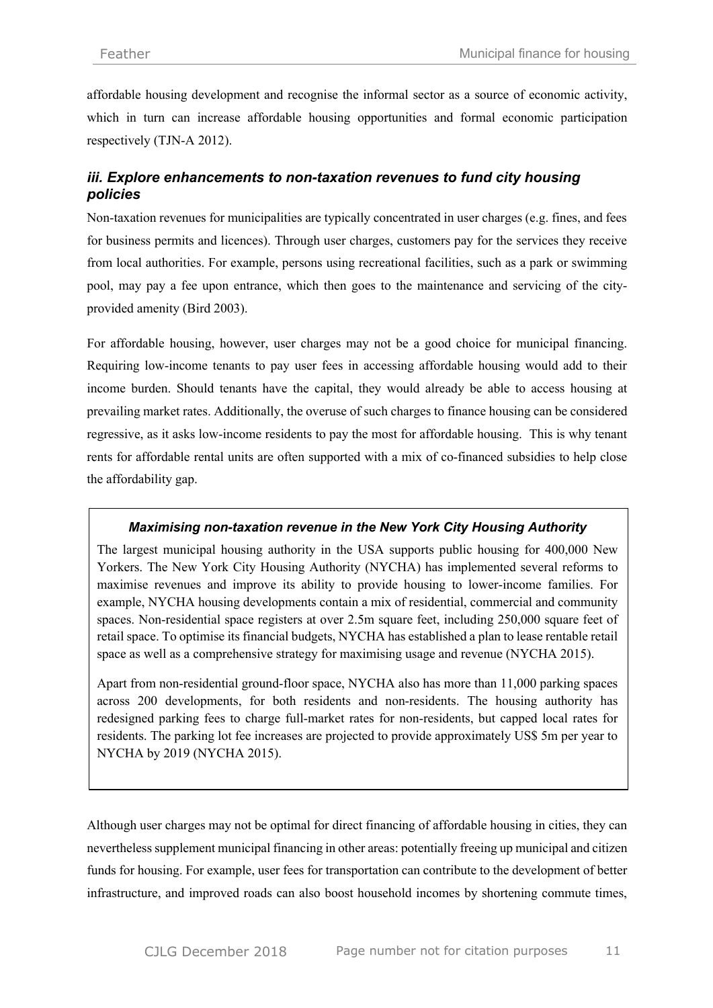affordable housing development and recognise the informal sector as a source of economic activity, which in turn can increase affordable housing opportunities and formal economic participation respectively (TJN-A 2012).

## *iii. Explore enhancements to non-taxation revenues to fund city housing policies*

Non-taxation revenues for municipalities are typically concentrated in user charges (e.g. fines, and fees for business permits and licences). Through user charges, customers pay for the services they receive from local authorities. For example, persons using recreational facilities, such as a park or swimming pool, may pay a fee upon entrance, which then goes to the maintenance and servicing of the cityprovided amenity (Bird 2003).

For affordable housing, however, user charges may not be a good choice for municipal financing. Requiring low-income tenants to pay user fees in accessing affordable housing would add to their income burden. Should tenants have the capital, they would already be able to access housing at prevailing market rates. Additionally, the overuse of such charges to finance housing can be considered regressive, as it asks low-income residents to pay the most for affordable housing. This is why tenant rents for affordable rental units are often supported with a mix of co-financed subsidies to help close the affordability gap.

#### *Maximising non-taxation revenue in the New York City Housing Authority*

The largest municipal housing authority in the USA supports public housing for 400,000 New Yorkers. The New York City Housing Authority (NYCHA) has implemented several reforms to maximise revenues and improve its ability to provide housing to lower-income families. For example, NYCHA housing developments contain a mix of residential, commercial and community spaces. Non-residential space registers at over 2.5m square feet, including 250,000 square feet of retail space. To optimise its financial budgets, NYCHA has established a plan to lease rentable retail space as well as a comprehensive strategy for maximising usage and revenue (NYCHA 2015).

Apart from non-residential ground-floor space, NYCHA also has more than 11,000 parking spaces across 200 developments, for both residents and non-residents. The housing authority has redesigned parking fees to charge full-market rates for non-residents, but capped local rates for residents. The parking lot fee increases are projected to provide approximately US\$ 5m per year to NYCHA by 2019 (NYCHA 2015).

Although user charges may not be optimal for direct financing of affordable housing in cities, they can nevertheless supplement municipal financing in other areas: potentially freeing up municipal and citizen funds for housing. For example, user fees for transportation can contribute to the development of better infrastructure, and improved roads can also boost household incomes by shortening commute times,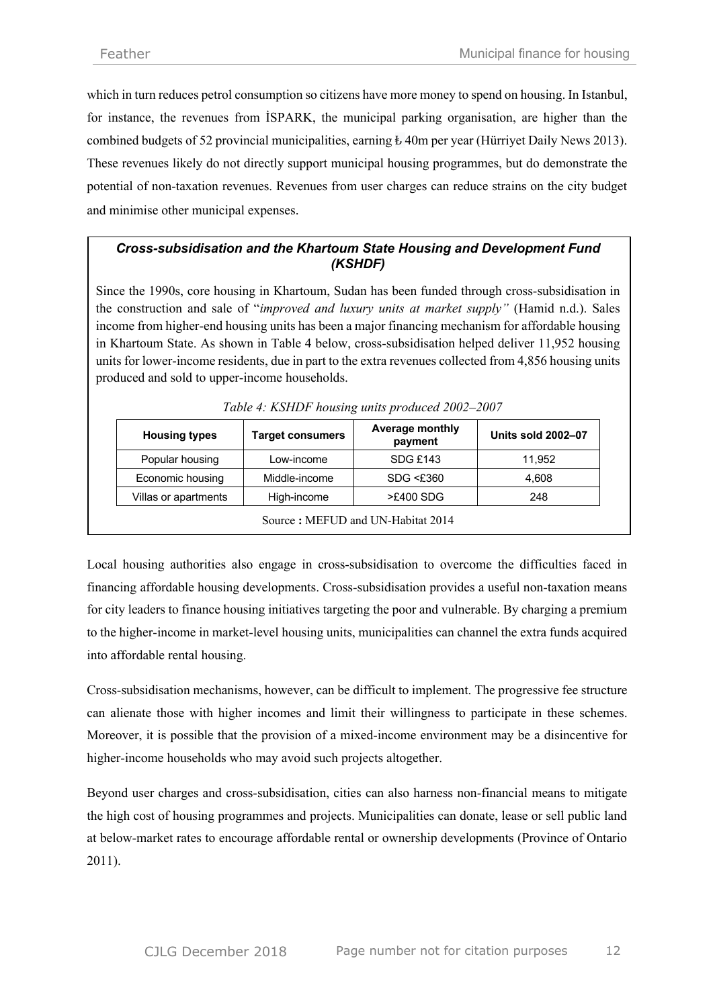which in turn reduces petrol consumption so citizens have more money to spend on housing. In Istanbul, for instance, the revenues from İSPARK, the municipal parking organisation, are higher than the combined budgets of 52 provincial municipalities, earning  $\pm$  40m per year (Hürriyet Daily News 2013). These revenues likely do not directly support municipal housing programmes, but do demonstrate the potential of non-taxation revenues. Revenues from user charges can reduce strains on the city budget and minimise other municipal expenses.

## *Cross-subsidisation and the Khartoum State Housing and Development Fund (KSHDF)*

Since the 1990s, core housing in Khartoum, Sudan has been funded through cross-subsidisation in the construction and sale of "*improved and luxury units at market supply"* (Hamid n.d.). Sales income from higher-end housing units has been a major financing mechanism for affordable housing in Khartoum State. As shown in Table 4 below, cross-subsidisation helped deliver 11,952 housing units for lower-income residents, due in part to the extra revenues collected from 4,856 housing units produced and sold to upper-income households.

| <b>Housing types</b>              | Target consumers | <b>Average monthly</b><br>payment | <b>Units sold 2002-07</b> |  |  |  |
|-----------------------------------|------------------|-----------------------------------|---------------------------|--|--|--|
| Popular housing                   | Low-income       | SDG £143                          | 11,952                    |  |  |  |
| Economic housing                  | Middle-income    | $SDG \leq £360$                   | 4,608                     |  |  |  |
| Villas or apartments              | High-income      |                                   | 248                       |  |  |  |
| Source: MEFUD and UN-Habitat 2014 |                  |                                   |                           |  |  |  |

*Table 4: KSHDF housing units produced 2002–2007*

Local housing authorities also engage in cross-subsidisation to overcome the difficulties faced in financing affordable housing developments. Cross-subsidisation provides a useful non-taxation means for city leaders to finance housing initiatives targeting the poor and vulnerable. By charging a premium to the higher-income in market-level housing units, municipalities can channel the extra funds acquired into affordable rental housing.

Cross-subsidisation mechanisms, however, can be difficult to implement. The progressive fee structure can alienate those with higher incomes and limit their willingness to participate in these schemes. Moreover, it is possible that the provision of a mixed-income environment may be a disincentive for higher-income households who may avoid such projects altogether.

Beyond user charges and cross-subsidisation, cities can also harness non-financial means to mitigate the high cost of housing programmes and projects. Municipalities can donate, lease or sell public land at below-market rates to encourage affordable rental or ownership developments (Province of Ontario 2011).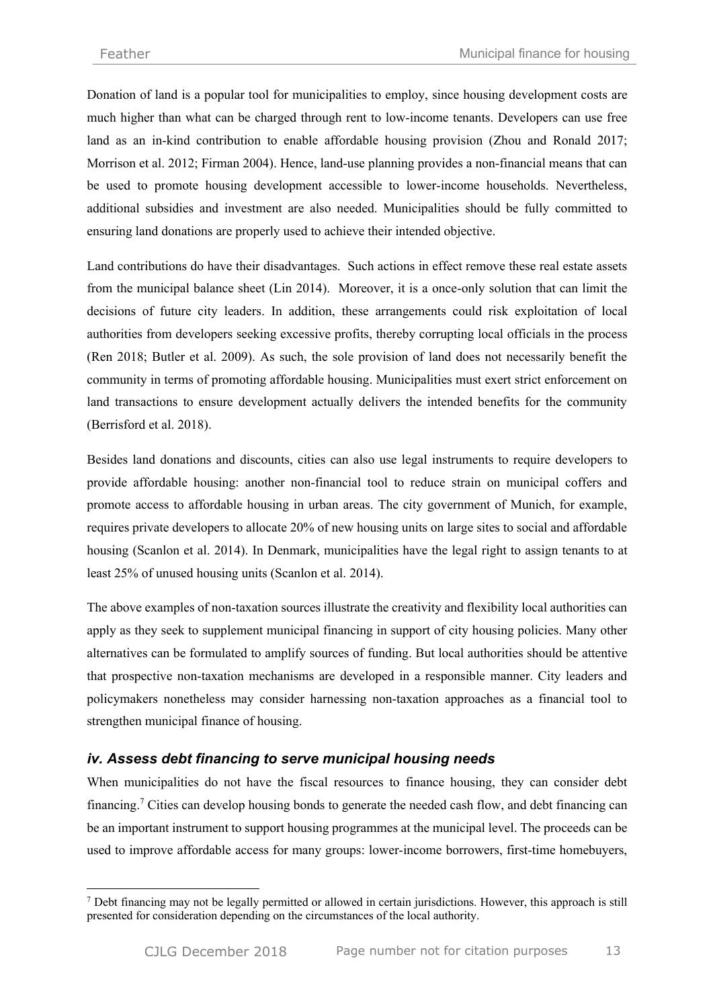$\overline{a}$ 

Donation of land is a popular tool for municipalities to employ, since housing development costs are much higher than what can be charged through rent to low-income tenants. Developers can use free land as an in-kind contribution to enable affordable housing provision (Zhou and Ronald 2017; Morrison et al. 2012; Firman 2004). Hence, land-use planning provides a non-financial means that can be used to promote housing development accessible to lower-income households. Nevertheless, additional subsidies and investment are also needed. Municipalities should be fully committed to ensuring land donations are properly used to achieve their intended objective.

Land contributions do have their disadvantages. Such actions in effect remove these real estate assets from the municipal balance sheet (Lin 2014). Moreover, it is a once-only solution that can limit the decisions of future city leaders. In addition, these arrangements could risk exploitation of local authorities from developers seeking excessive profits, thereby corrupting local officials in the process (Ren 2018; Butler et al. 2009). As such, the sole provision of land does not necessarily benefit the community in terms of promoting affordable housing. Municipalities must exert strict enforcement on land transactions to ensure development actually delivers the intended benefits for the community (Berrisford et al. 2018).

Besides land donations and discounts, cities can also use legal instruments to require developers to provide affordable housing: another non-financial tool to reduce strain on municipal coffers and promote access to affordable housing in urban areas. The city government of Munich, for example, requires private developers to allocate 20% of new housing units on large sites to social and affordable housing (Scanlon et al. 2014). In Denmark, municipalities have the legal right to assign tenants to at least 25% of unused housing units (Scanlon et al. 2014).

The above examples of non-taxation sources illustrate the creativity and flexibility local authorities can apply as they seek to supplement municipal financing in support of city housing policies. Many other alternatives can be formulated to amplify sources of funding. But local authorities should be attentive that prospective non-taxation mechanisms are developed in a responsible manner. City leaders and policymakers nonetheless may consider harnessing non-taxation approaches as a financial tool to strengthen municipal finance of housing.

# *iv. Assess debt financing to serve municipal housing needs*

When municipalities do not have the fiscal resources to finance housing, they can consider debt financing.<sup>7</sup> Cities can develop housing bonds to generate the needed cash flow, and debt financing can be an important instrument to support housing programmes at the municipal level. The proceeds can be used to improve affordable access for many groups: lower-income borrowers, first-time homebuyers,

<sup>7</sup> Debt financing may not be legally permitted or allowed in certain jurisdictions. However, this approach is still presented for consideration depending on the circumstances of the local authority.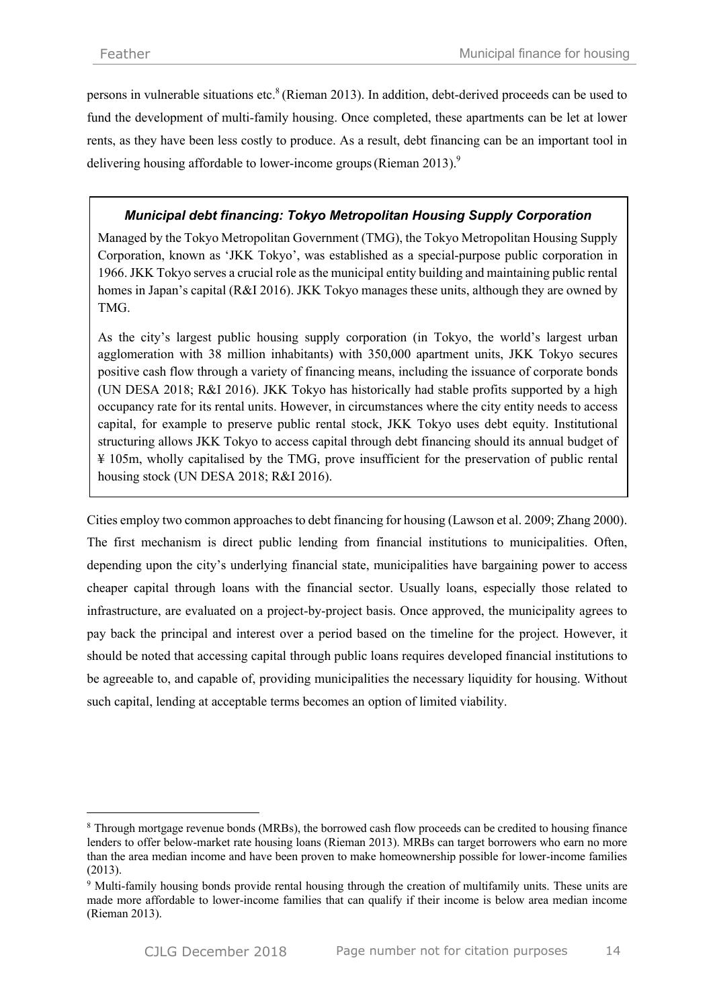persons in vulnerable situations etc.<sup>8</sup> (Rieman 2013). In addition, debt-derived proceeds can be used to fund the development of multi-family housing. Once completed, these apartments can be let at lower rents, as they have been less costly to produce. As a result, debt financing can be an important tool in delivering housing affordable to lower-income groups (Rieman 2013).<sup>9</sup>

## *Municipal debt financing: Tokyo Metropolitan Housing Supply Corporation*

Managed by the Tokyo Metropolitan Government (TMG), the Tokyo Metropolitan Housing Supply Corporation, known as 'JKK Tokyo', was established as a special-purpose public corporation in 1966. JKK Tokyo serves a crucial role as the municipal entity building and maintaining public rental homes in Japan's capital (R&I 2016). JKK Tokyo manages these units, although they are owned by TMG.

As the city's largest public housing supply corporation (in Tokyo, the world's largest urban agglomeration with 38 million inhabitants) with 350,000 apartment units, JKK Tokyo secures positive cash flow through a variety of financing means, including the issuance of corporate bonds (UN DESA 2018; R&I 2016). JKK Tokyo has historically had stable profits supported by a high occupancy rate for its rental units. However, in circumstances where the city entity needs to access capital, for example to preserve public rental stock, JKK Tokyo uses debt equity. Institutional structuring allows JKK Tokyo to access capital through debt financing should its annual budget of ¥ 105m, wholly capitalised by the TMG, prove insufficient for the preservation of public rental housing stock (UN DESA 2018; R&I 2016).

Cities employ two common approaches to debt financing for housing (Lawson et al. 2009; Zhang 2000). The first mechanism is direct public lending from financial institutions to municipalities. Often, depending upon the city's underlying financial state, municipalities have bargaining power to access cheaper capital through loans with the financial sector. Usually loans, especially those related to infrastructure, are evaluated on a project-by-project basis. Once approved, the municipality agrees to pay back the principal and interest over a period based on the timeline for the project. However, it should be noted that accessing capital through public loans requires developed financial institutions to be agreeable to, and capable of, providing municipalities the necessary liquidity for housing. Without such capital, lending at acceptable terms becomes an option of limited viability.

 $\overline{a}$ 

<sup>8</sup> Through mortgage revenue bonds (MRBs), the borrowed cash flow proceeds can be credited to housing finance lenders to offer below-market rate housing loans (Rieman 2013). MRBs can target borrowers who earn no more than the area median income and have been proven to make homeownership possible for lower-income families (2013).

<sup>&</sup>lt;sup>9</sup> Multi-family housing bonds provide rental housing through the creation of multifamily units. These units are made more affordable to lower-income families that can qualify if their income is below area median income (Rieman 2013).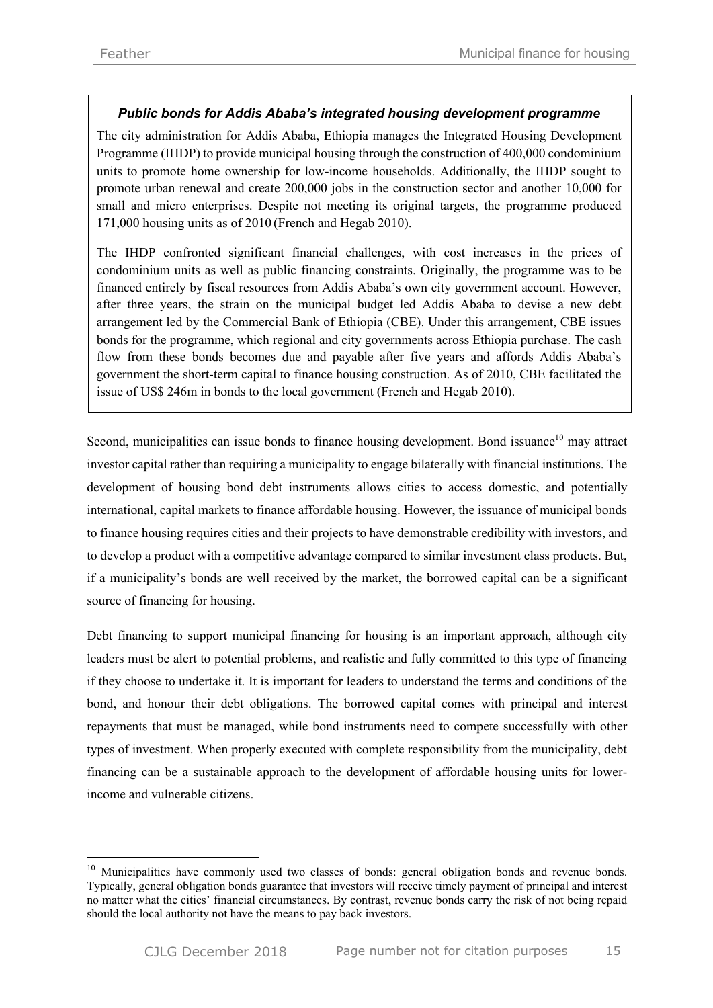## *Public bonds for Addis Ababa's integrated housing development programme*

The city administration for Addis Ababa, Ethiopia manages the Integrated Housing Development Programme (IHDP) to provide municipal housing through the construction of 400,000 condominium units to promote home ownership for low-income households. Additionally, the IHDP sought to promote urban renewal and create 200,000 jobs in the construction sector and another 10,000 for small and micro enterprises. Despite not meeting its original targets, the programme produced 171,000 housing units as of 2010 (French and Hegab 2010).

The IHDP confronted significant financial challenges, with cost increases in the prices of condominium units as well as public financing constraints. Originally, the programme was to be financed entirely by fiscal resources from Addis Ababa's own city government account. However, after three years, the strain on the municipal budget led Addis Ababa to devise a new debt arrangement led by the Commercial Bank of Ethiopia (CBE). Under this arrangement, CBE issues bonds for the programme, which regional and city governments across Ethiopia purchase. The cash flow from these bonds becomes due and payable after five years and affords Addis Ababa's government the short-term capital to finance housing construction. As of 2010, CBE facilitated the issue of US\$ 246m in bonds to the local government (French and Hegab 2010).

Second, municipalities can issue bonds to finance housing development. Bond issuance<sup>10</sup> may attract investor capital rather than requiring a municipality to engage bilaterally with financial institutions. The development of housing bond debt instruments allows cities to access domestic, and potentially international, capital markets to finance affordable housing. However, the issuance of municipal bonds to finance housing requires cities and their projects to have demonstrable credibility with investors, and to develop a product with a competitive advantage compared to similar investment class products. But, if a municipality's bonds are well received by the market, the borrowed capital can be a significant source of financing for housing.

Debt financing to support municipal financing for housing is an important approach, although city leaders must be alert to potential problems, and realistic and fully committed to this type of financing if they choose to undertake it. It is important for leaders to understand the terms and conditions of the bond, and honour their debt obligations. The borrowed capital comes with principal and interest repayments that must be managed, while bond instruments need to compete successfully with other types of investment. When properly executed with complete responsibility from the municipality, debt financing can be a sustainable approach to the development of affordable housing units for lowerincome and vulnerable citizens.

<sup>&</sup>lt;sup>10</sup> Municipalities have commonly used two classes of bonds: general obligation bonds and revenue bonds. Typically, general obligation bonds guarantee that investors will receive timely payment of principal and interest no matter what the cities' financial circumstances. By contrast, revenue bonds carry the risk of not being repaid should the local authority not have the means to pay back investors.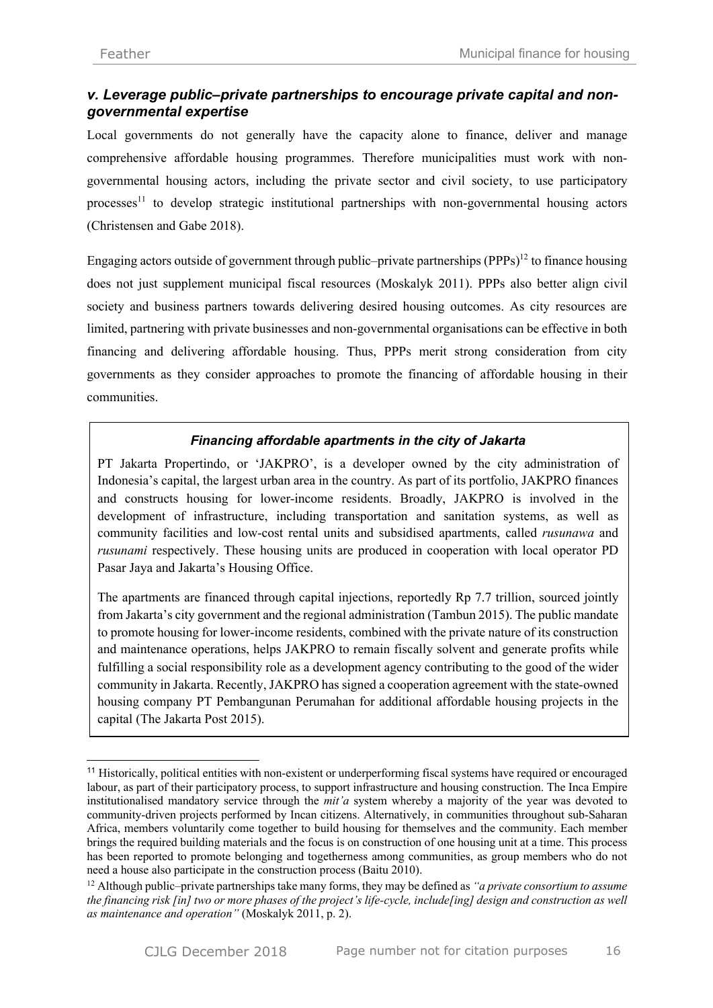# *v. Leverage public–private partnerships to encourage private capital and nongovernmental expertise*

Local governments do not generally have the capacity alone to finance, deliver and manage comprehensive affordable housing programmes. Therefore municipalities must work with nongovernmental housing actors, including the private sector and civil society, to use participatory processes<sup>11</sup> to develop strategic institutional partnerships with non-governmental housing actors (Christensen and Gabe 2018).

Engaging actors outside of government through public–private partnerships  $(PPPs)^{12}$  to finance housing does not just supplement municipal fiscal resources (Moskalyk 2011). PPPs also better align civil society and business partners towards delivering desired housing outcomes. As city resources are limited, partnering with private businesses and non-governmental organisations can be effective in both financing and delivering affordable housing. Thus, PPPs merit strong consideration from city governments as they consider approaches to promote the financing of affordable housing in their communities.

## *Financing affordable apartments in the city of Jakarta*

PT Jakarta Propertindo, or 'JAKPRO', is a developer owned by the city administration of Indonesia's capital, the largest urban area in the country. As part of its portfolio, JAKPRO finances and constructs housing for lower-income residents. Broadly, JAKPRO is involved in the development of infrastructure, including transportation and sanitation systems, as well as community facilities and low-cost rental units and subsidised apartments, called *rusunawa* and *rusunami* respectively. These housing units are produced in cooperation with local operator PD Pasar Jaya and Jakarta's Housing Office.

The apartments are financed through capital injections, reportedly Rp 7.7 trillion, sourced jointly from Jakarta's city government and the regional administration (Tambun 2015). The public mandate to promote housing for lower-income residents, combined with the private nature of its construction and maintenance operations, helps JAKPRO to remain fiscally solvent and generate profits while fulfilling a social responsibility role as a development agency contributing to the good of the wider community in Jakarta. Recently, JAKPRO has signed a cooperation agreement with the state-owned housing company PT Pembangunan Perumahan for additional affordable housing projects in the capital (The Jakarta Post 2015).

 <sup>11</sup> Historically, political entities with non-existent or underperforming fiscal systems have required or encouraged labour, as part of their participatory process, to support infrastructure and housing construction. The Inca Empire institutionalised mandatory service through the *mit'a* system whereby a majority of the year was devoted to community-driven projects performed by Incan citizens. Alternatively, in communities throughout sub-Saharan Africa, members voluntarily come together to build housing for themselves and the community. Each member brings the required building materials and the focus is on construction of one housing unit at a time. This process has been reported to promote belonging and togetherness among communities, as group members who do not need a house also participate in the construction process (Baitu 2010).

<sup>12</sup> Although public–private partnerships take many forms, they may be defined as *"a private consortium to assume the financing risk [in] two or more phases of the project's life-cycle, include[ing] design and construction as well as maintenance and operation"* (Moskalyk 2011, p. 2).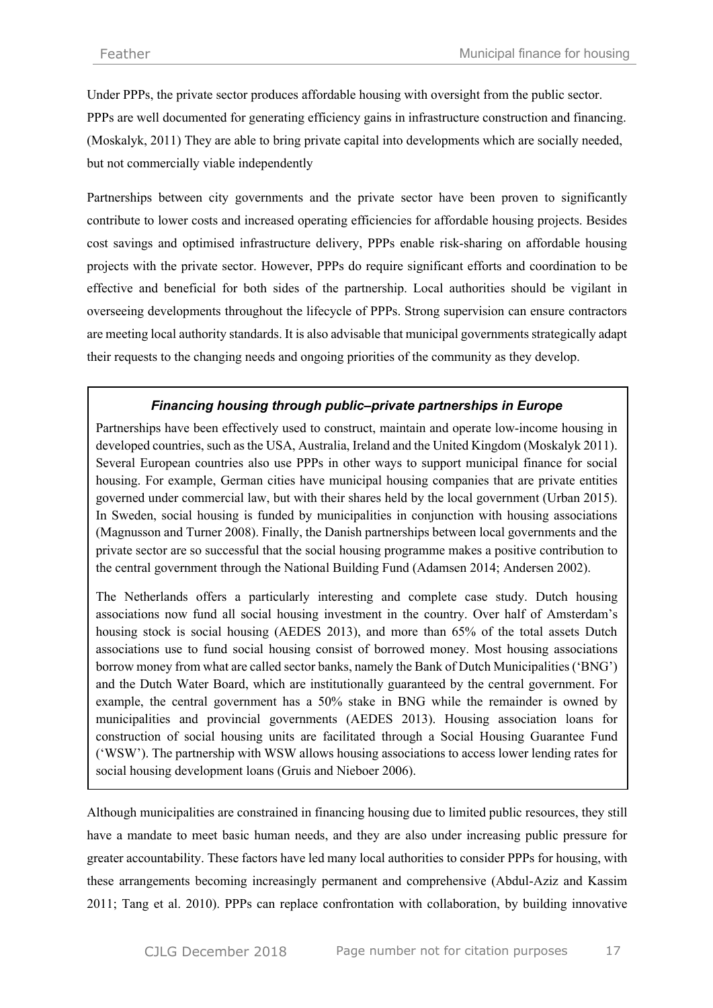Under PPPs, the private sector produces affordable housing with oversight from the public sector. PPPs are well documented for generating efficiency gains in infrastructure construction and financing. (Moskalyk, 2011) They are able to bring private capital into developments which are socially needed, but not commercially viable independently

Partnerships between city governments and the private sector have been proven to significantly contribute to lower costs and increased operating efficiencies for affordable housing projects. Besides cost savings and optimised infrastructure delivery, PPPs enable risk-sharing on affordable housing projects with the private sector. However, PPPs do require significant efforts and coordination to be effective and beneficial for both sides of the partnership. Local authorities should be vigilant in overseeing developments throughout the lifecycle of PPPs. Strong supervision can ensure contractors are meeting local authority standards. It is also advisable that municipal governments strategically adapt their requests to the changing needs and ongoing priorities of the community as they develop.

## *Financing housing through public–private partnerships in Europe*

Partnerships have been effectively used to construct, maintain and operate low-income housing in developed countries, such as the USA, Australia, Ireland and the United Kingdom (Moskalyk 2011). Several European countries also use PPPs in other ways to support municipal finance for social housing. For example, German cities have municipal housing companies that are private entities governed under commercial law, but with their shares held by the local government (Urban 2015). In Sweden, social housing is funded by municipalities in conjunction with housing associations (Magnusson and Turner 2008). Finally, the Danish partnerships between local governments and the private sector are so successful that the social housing programme makes a positive contribution to the central government through the National Building Fund (Adamsen 2014; Andersen 2002).

The Netherlands offers a particularly interesting and complete case study. Dutch housing associations now fund all social housing investment in the country. Over half of Amsterdam's housing stock is social housing (AEDES 2013), and more than 65% of the total assets Dutch associations use to fund social housing consist of borrowed money. Most housing associations borrow money from what are called sector banks, namely the Bank of Dutch Municipalities ('BNG') and the Dutch Water Board, which are institutionally guaranteed by the central government. For example, the central government has a 50% stake in BNG while the remainder is owned by municipalities and provincial governments (AEDES 2013). Housing association loans for construction of social housing units are facilitated through a Social Housing Guarantee Fund ('WSW'). The partnership with WSW allows housing associations to access lower lending rates for social housing development loans (Gruis and Nieboer 2006).

Although municipalities are constrained in financing housing due to limited public resources, they still have a mandate to meet basic human needs, and they are also under increasing public pressure for greater accountability. These factors have led many local authorities to consider PPPs for housing, with these arrangements becoming increasingly permanent and comprehensive (Abdul-Aziz and Kassim 2011; Tang et al. 2010). PPPs can replace confrontation with collaboration, by building innovative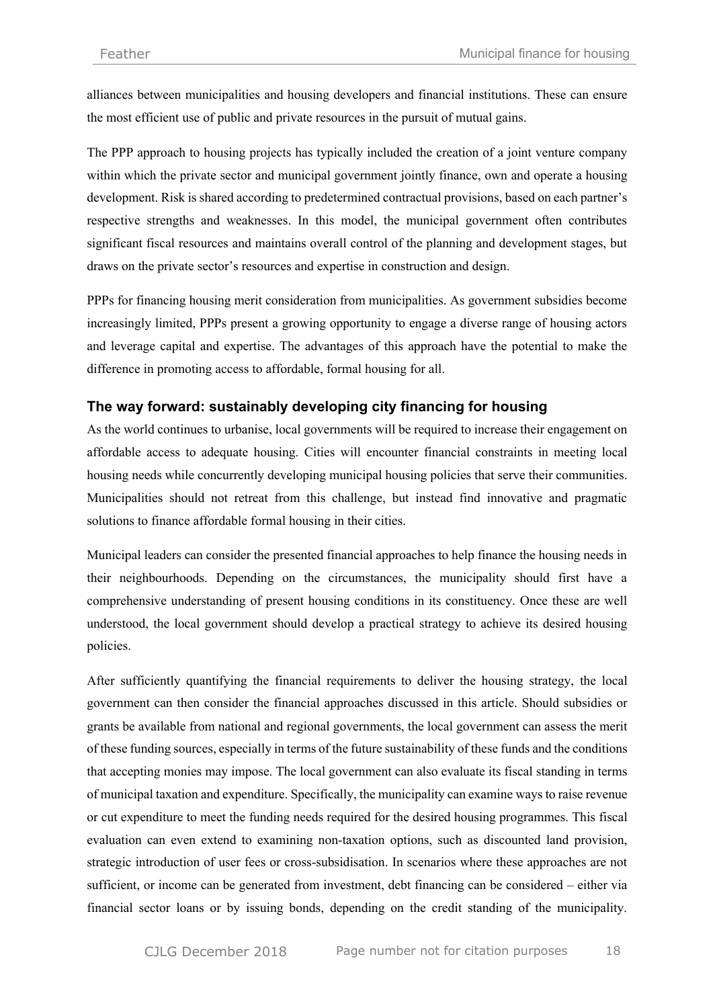alliances between municipalities and housing developers and financial institutions. These can ensure the most efficient use of public and private resources in the pursuit of mutual gains.

The PPP approach to housing projects has typically included the creation of a joint venture company within which the private sector and municipal government jointly finance, own and operate a housing development. Risk is shared according to predetermined contractual provisions, based on each partner's respective strengths and weaknesses. In this model, the municipal government often contributes significant fiscal resources and maintains overall control of the planning and development stages, but draws on the private sector's resources and expertise in construction and design.

PPPs for financing housing merit consideration from municipalities. As government subsidies become increasingly limited, PPPs present a growing opportunity to engage a diverse range of housing actors and leverage capital and expertise. The advantages of this approach have the potential to make the difference in promoting access to affordable, formal housing for all.

## **The way forward: sustainably developing city financing for housing**

As the world continues to urbanise, local governments will be required to increase their engagement on affordable access to adequate housing. Cities will encounter financial constraints in meeting local housing needs while concurrently developing municipal housing policies that serve their communities. Municipalities should not retreat from this challenge, but instead find innovative and pragmatic solutions to finance affordable formal housing in their cities.

Municipal leaders can consider the presented financial approaches to help finance the housing needs in their neighbourhoods. Depending on the circumstances, the municipality should first have a comprehensive understanding of present housing conditions in its constituency. Once these are well understood, the local government should develop a practical strategy to achieve its desired housing policies.

After sufficiently quantifying the financial requirements to deliver the housing strategy, the local government can then consider the financial approaches discussed in this article. Should subsidies or grants be available from national and regional governments, the local government can assess the merit of these funding sources, especially in terms of the future sustainability of these funds and the conditions that accepting monies may impose. The local government can also evaluate its fiscal standing in terms of municipal taxation and expenditure. Specifically, the municipality can examine ways to raise revenue or cut expenditure to meet the funding needs required for the desired housing programmes. This fiscal evaluation can even extend to examining non-taxation options, such as discounted land provision, strategic introduction of user fees or cross-subsidisation. In scenarios where these approaches are not sufficient, or income can be generated from investment, debt financing can be considered – either via financial sector loans or by issuing bonds, depending on the credit standing of the municipality.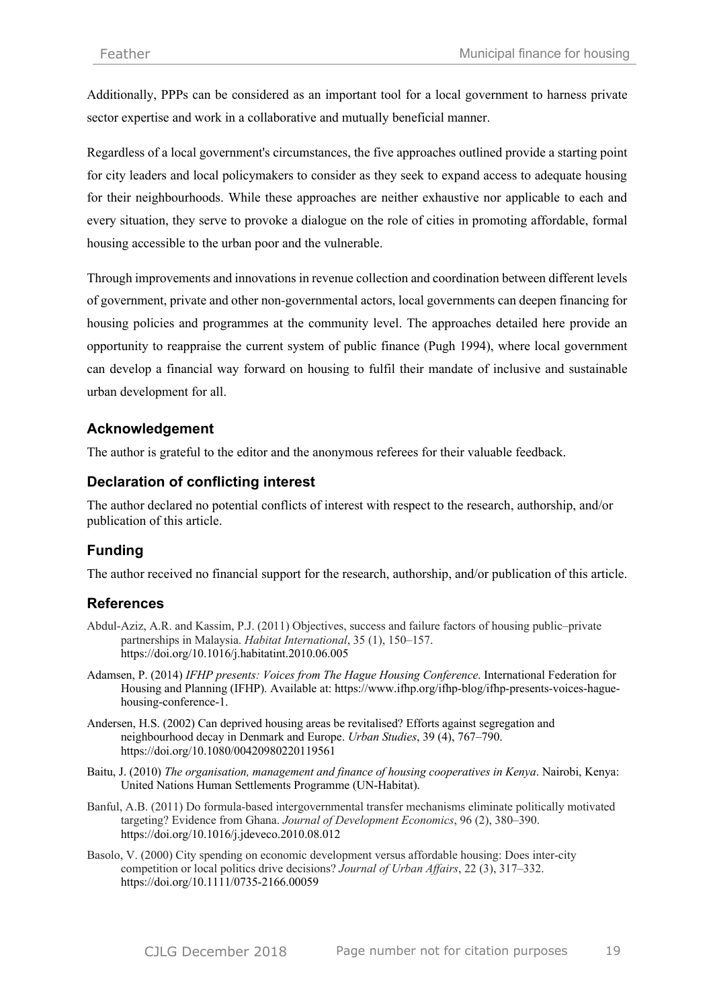Additionally, PPPs can be considered as an important tool for a local government to harness private sector expertise and work in a collaborative and mutually beneficial manner.

Regardless of a local government's circumstances, the five approaches outlined provide a starting point for city leaders and local policymakers to consider as they seek to expand access to adequate housing for their neighbourhoods. While these approaches are neither exhaustive nor applicable to each and every situation, they serve to provoke a dialogue on the role of cities in promoting affordable, formal housing accessible to the urban poor and the vulnerable.

Through improvements and innovations in revenue collection and coordination between different levels of government, private and other non-governmental actors, local governments can deepen financing for housing policies and programmes at the community level. The approaches detailed here provide an opportunity to reappraise the current system of public finance (Pugh 1994), where local government can develop a financial way forward on housing to fulfil their mandate of inclusive and sustainable urban development for all.

## **Acknowledgement**

The author is grateful to the editor and the anonymous referees for their valuable feedback.

## **Declaration of conflicting interest**

The author declared no potential conflicts of interest with respect to the research, authorship, and/or publication of this article.

# **Funding**

The author received no financial support for the research, authorship, and/or publication of this article.

## **References**

- Abdul-Aziz, A.R. and Kassim, P.J. (2011) Objectives, success and failure factors of housing public–private partnerships in Malaysia. *Habitat International*, 35 (1), 150–157. https://doi.org/10.1016/j.habitatint.2010.06.005
- Adamsen, P. (2014) *IFHP presents: Voices from The Hague Housing Conference*. International Federation for Housing and Planning (IFHP). Available at: https://www.ifhp.org/ifhp-blog/ifhp-presents-voices-haguehousing-conference-1.
- Andersen, H.S. (2002) Can deprived housing areas be revitalised? Efforts against segregation and neighbourhood decay in Denmark and Europe. *Urban Studies*, 39 (4), 767–790. https://doi.org/10.1080/00420980220119561
- Baitu, J. (2010) *The organisation, management and finance of housing cooperatives in Kenya*. Nairobi, Kenya: United Nations Human Settlements Programme (UN-Habitat).
- Banful, A.B. (2011) Do formula-based intergovernmental transfer mechanisms eliminate politically motivated targeting? Evidence from Ghana. *Journal of Development Economics*, 96 (2), 380–390. https://doi.org/10.1016/j.jdeveco.2010.08.012
- Basolo, V. (2000) City spending on economic development versus affordable housing: Does inter-city competition or local politics drive decisions? *Journal of Urban Affairs*, 22 (3), 317–332. https://doi.org/10.1111/0735-2166.00059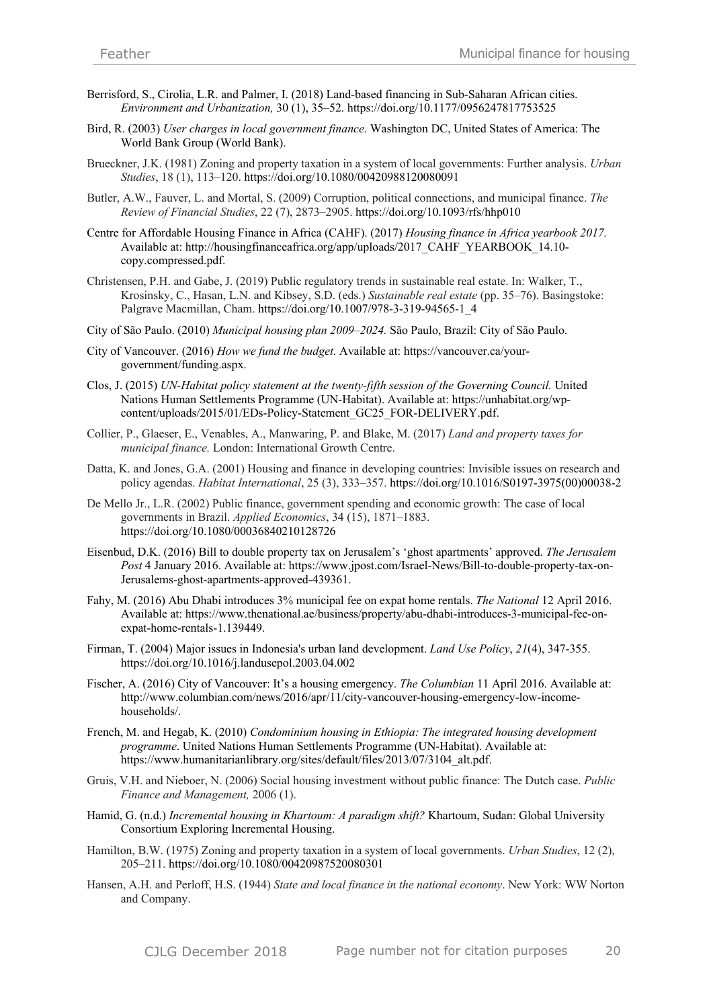- Berrisford, S., Cirolia, L.R. and Palmer, I. (2018) Land-based financing in Sub-Saharan African cities. *Environment and Urbanization,* 30 (1), 35–52. https://doi.org/10.1177/0956247817753525
- Bird, R. (2003) *User charges in local government finance*. Washington DC, United States of America: The World Bank Group (World Bank).
- Brueckner, J.K. (1981) Zoning and property taxation in a system of local governments: Further analysis. *Urban Studies*, 18 (1), 113–120. https://doi.org/10.1080/00420988120080091
- Butler, A.W., Fauver, L. and Mortal, S. (2009) Corruption, political connections, and municipal finance. *The Review of Financial Studies*, 22 (7), 2873–2905. https://doi.org/10.1093/rfs/hhp010
- Centre for Affordable Housing Finance in Africa (CAHF). (2017) *Housing finance in Africa yearbook 2017.*  Available at: http://housingfinanceafrica.org/app/uploads/2017\_CAHF\_YEARBOOK\_14.10 copy.compressed.pdf.
- Christensen, P.H. and Gabe, J. (2019) Public regulatory trends in sustainable real estate. In: Walker, T., Krosinsky, C., Hasan, L.N. and Kibsey, S.D. (eds.) *Sustainable real estate* (pp. 35–76). Basingstoke: Palgrave Macmillan, Cham. https://doi.org/10.1007/978-3-319-94565-1\_4
- City of São Paulo. (2010) *Municipal housing plan 2009–2024.* São Paulo, Brazil: City of São Paulo.
- City of Vancouver. (2016) *How we fund the budget*. Available at: https://vancouver.ca/yourgovernment/funding.aspx.
- Clos, J. (2015) *UN-Habitat policy statement at the twenty-fifth session of the Governing Council.* United Nations Human Settlements Programme (UN-Habitat). Available at: https://unhabitat.org/wpcontent/uploads/2015/01/EDs-Policy-Statement\_GC25\_FOR-DELIVERY.pdf.
- Collier, P., Glaeser, E., Venables, A., Manwaring, P. and Blake, M. (2017) *Land and property taxes for municipal finance.* London: International Growth Centre.
- Datta, K. and Jones, G.A. (2001) Housing and finance in developing countries: Invisible issues on research and policy agendas. *Habitat International*, 25 (3), 333–357. https://doi.org/10.1016/S0197-3975(00)00038-2
- De Mello Jr., L.R. (2002) Public finance, government spending and economic growth: The case of local governments in Brazil. *Applied Economics*, 34 (15), 1871–1883. https://doi.org/10.1080/00036840210128726
- Eisenbud, D.K. (2016) Bill to double property tax on Jerusalem's 'ghost apartments' approved. *The Jerusalem Post* 4 January 2016. Available at: https://www.jpost.com/Israel-News/Bill-to-double-property-tax-on-Jerusalems-ghost-apartments-approved-439361.
- Fahy, M. (2016) Abu Dhabi introduces 3% municipal fee on expat home rentals. *The National* 12 April 2016. Available at: https://www.thenational.ae/business/property/abu-dhabi-introduces-3-municipal-fee-onexpat-home-rentals-1.139449.
- Firman, T. (2004) Major issues in Indonesia's urban land development. *Land Use Policy*, *21*(4), 347-355. https://doi.org/10.1016/j.landusepol.2003.04.002
- Fischer, A. (2016) City of Vancouver: It's a housing emergency. *The Columbian* 11 April 2016. Available at: http://www.columbian.com/news/2016/apr/11/city-vancouver-housing-emergency-low-incomehouseholds/.
- French, M. and Hegab, K. (2010) *Condominium housing in Ethiopia: The integrated housing development programme*. United Nations Human Settlements Programme (UN-Habitat). Available at: https://www.humanitarianlibrary.org/sites/default/files/2013/07/3104\_alt.pdf.
- Gruis, V.H. and Nieboer, N. (2006) Social housing investment without public finance: The Dutch case. *Public Finance and Management,* 2006 (1).
- Hamid, G. (n.d.) *Incremental housing in Khartoum: A paradigm shift?* Khartoum, Sudan: Global University Consortium Exploring Incremental Housing.
- Hamilton, B.W. (1975) Zoning and property taxation in a system of local governments. *Urban Studies*, 12 (2), 205–211. https://doi.org/10.1080/00420987520080301
- Hansen, A.H. and Perloff, H.S. (1944) *State and local finance in the national economy*. New York: WW Norton and Company.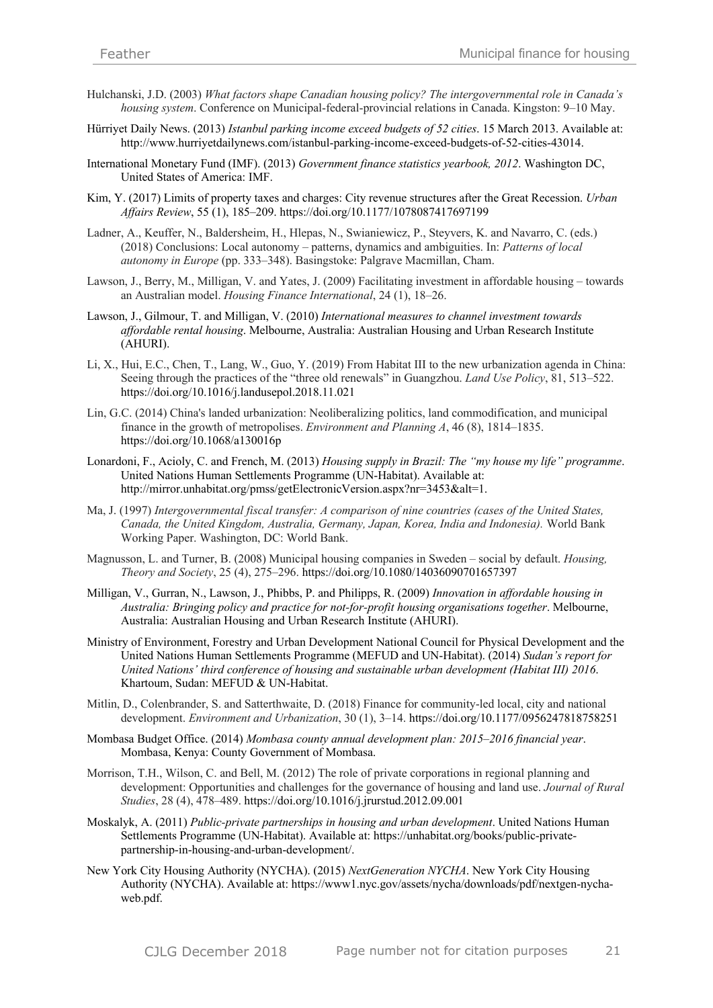- Hulchanski, J.D. (2003) *What factors shape Canadian housing policy? The intergovernmental role in Canada's housing system*. Conference on Municipal-federal-provincial relations in Canada. Kingston: 9–10 May.
- Hürriyet Daily News. (2013) *Istanbul parking income exceed budgets of 52 cities*. 15 March 2013. Available at: http://www.hurriyetdailynews.com/istanbul-parking-income-exceed-budgets-of-52-cities-43014.
- International Monetary Fund (IMF). (2013) *Government finance statistics yearbook, 2012*. Washington DC, United States of America: IMF.
- Kim, Y. (2017) Limits of property taxes and charges: City revenue structures after the Great Recession. *Urban Affairs Review*, 55 (1), 185–209. https://doi.org/10.1177/1078087417697199
- Ladner, A., Keuffer, N., Baldersheim, H., Hlepas, N., Swianiewicz, P., Steyvers, K. and Navarro, C. (eds.) (2018) Conclusions: Local autonomy – patterns, dynamics and ambiguities. In: *Patterns of local autonomy in Europe* (pp. 333–348). Basingstoke: Palgrave Macmillan, Cham.
- Lawson, J., Berry, M., Milligan, V. and Yates, J. (2009) Facilitating investment in affordable housing towards an Australian model. *Housing Finance International*, 24 (1), 18–26.
- Lawson, J., Gilmour, T. and Milligan, V. (2010) *International measures to channel investment towards affordable rental housing*. Melbourne, Australia: Australian Housing and Urban Research Institute (AHURI).
- Li, X., Hui, E.C., Chen, T., Lang, W., Guo, Y. (2019) From Habitat III to the new urbanization agenda in China: Seeing through the practices of the "three old renewals" in Guangzhou. *Land Use Policy*, 81, 513–522. https://doi.org/10.1016/j.landusepol.2018.11.021
- Lin, G.C. (2014) China's landed urbanization: Neoliberalizing politics, land commodification, and municipal finance in the growth of metropolises. *Environment and Planning A*, 46 (8), 1814–1835. https://doi.org/10.1068/a130016p
- Lonardoni, F., Acioly, C. and French, M. (2013) *Housing supply in Brazil: The "my house my life" programme*. United Nations Human Settlements Programme (UN-Habitat). Available at: http://mirror.unhabitat.org/pmss/getElectronicVersion.aspx?nr=3453&alt=1.
- Ma, J. (1997) *Intergovernmental fiscal transfer: A comparison of nine countries (cases of the United States, Canada, the United Kingdom, Australia, Germany, Japan, Korea, India and Indonesia).* World Bank Working Paper. Washington, DC: World Bank.
- Magnusson, L. and Turner, B. (2008) Municipal housing companies in Sweden social by default. *Housing, Theory and Society*, 25 (4), 275–296. https://doi.org/10.1080/14036090701657397
- Milligan, V., Gurran, N., Lawson, J., Phibbs, P. and Philipps, R. (2009) *Innovation in affordable housing in Australia: Bringing policy and practice for not-for-profit housing organisations together*. Melbourne, Australia: Australian Housing and Urban Research Institute (AHURI).
- Ministry of Environment, Forestry and Urban Development National Council for Physical Development and the United Nations Human Settlements Programme (MEFUD and UN-Habitat). (2014) *Sudan's report for United Nations' third conference of housing and sustainable urban development (Habitat III) 2016*. Khartoum, Sudan: MEFUD & UN-Habitat.
- Mitlin, D., Colenbrander, S. and Satterthwaite, D. (2018) Finance for community-led local, city and national development. *Environment and Urbanization*, 30 (1), 3–14. https://doi.org/10.1177/0956247818758251
- Mombasa Budget Office. (2014) *Mombasa county annual development plan: 2015–2016 financial year*. Mombasa, Kenya: County Government of Mombasa.
- Morrison, T.H., Wilson, C. and Bell, M. (2012) The role of private corporations in regional planning and development: Opportunities and challenges for the governance of housing and land use. *Journal of Rural Studies*, 28 (4), 478–489. https://doi.org/10.1016/j.jrurstud.2012.09.001
- Moskalyk, A. (2011) *Public-private partnerships in housing and urban development*. United Nations Human Settlements Programme (UN-Habitat). Available at: https://unhabitat.org/books/public-privatepartnership-in-housing-and-urban-development/.
- New York City Housing Authority (NYCHA). (2015) *NextGeneration NYCHA*. New York City Housing Authority (NYCHA). Available at: https://www1.nyc.gov/assets/nycha/downloads/pdf/nextgen-nychaweb.pdf.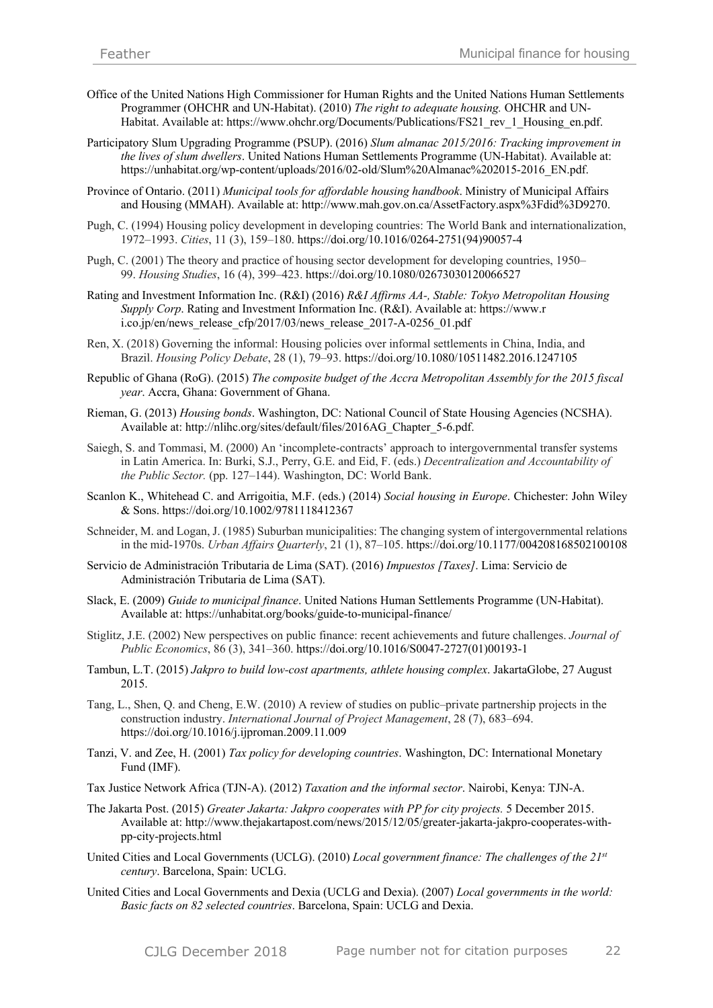- Office of the United Nations High Commissioner for Human Rights and the United Nations Human Settlements Programmer (OHCHR and UN-Habitat). (2010) *The right to adequate housing.* OHCHR and UN-Habitat. Available at: https://www.ohchr.org/Documents/Publications/FS21\_rev\_1\_Housing\_en.pdf.
- Participatory Slum Upgrading Programme (PSUP). (2016) *Slum almanac 2015/2016: Tracking improvement in the lives of slum dwellers*. United Nations Human Settlements Programme (UN-Habitat). Available at: https://unhabitat.org/wp-content/uploads/2016/02-old/Slum%20Almanac%202015-2016\_EN.pdf.
- Province of Ontario. (2011) *Municipal tools for affordable housing handbook*. Ministry of Municipal Affairs and Housing (MMAH). Available at: http://www.mah.gov.on.ca/AssetFactory.aspx%3Fdid%3D9270.
- Pugh, C. (1994) Housing policy development in developing countries: The World Bank and internationalization, 1972–1993. *Cities*, 11 (3), 159–180. https://doi.org/10.1016/0264-2751(94)90057-4
- Pugh, C. (2001) The theory and practice of housing sector development for developing countries, 1950– 99. *Housing Studies*, 16 (4), 399–423. https://doi.org/10.1080/02673030120066527
- Rating and Investment Information Inc. (R&I) (2016) *R&I Affirms AA-, Stable: Tokyo Metropolitan Housing Supply Corp*. Rating and Investment Information Inc. (R&I). Available at: https://www.r i.co.jp/en/news\_release\_cfp/2017/03/news\_release\_2017-A-0256\_01.pdf
- Ren, X. (2018) Governing the informal: Housing policies over informal settlements in China, India, and Brazil. *Housing Policy Debate*, 28 (1), 79–93. https://doi.org/10.1080/10511482.2016.1247105
- Republic of Ghana (RoG). (2015) *The composite budget of the Accra Metropolitan Assembly for the 2015 fiscal year*. Accra, Ghana: Government of Ghana.
- Rieman, G. (2013) *Housing bonds*. Washington, DC: National Council of State Housing Agencies (NCSHA). Available at: http://nlihc.org/sites/default/files/2016AG\_Chapter\_5-6.pdf.
- Saiegh, S. and Tommasi, M. (2000) An 'incomplete-contracts' approach to intergovernmental transfer systems in Latin America. In: Burki, S.J., Perry, G.E. and Eid, F. (eds.) *Decentralization and Accountability of the Public Sector.* (pp. 127–144). Washington, DC: World Bank.
- Scanlon K., Whitehead C. and Arrigoitia, M.F. (eds.) (2014) *Social housing in Europe*. Chichester: John Wiley & Sons. https://doi.org/10.1002/9781118412367
- Schneider, M. and Logan, J. (1985) Suburban municipalities: The changing system of intergovernmental relations in the mid-1970s. *Urban Affairs Quarterly*, 21 (1), 87–105. https://doi.org/10.1177/004208168502100108
- Servicio de Administración Tributaria de Lima (SAT). (2016) *Impuestos [Taxes]*. Lima: Servicio de Administración Tributaria de Lima (SAT).
- Slack, E. (2009) *Guide to municipal finance*. United Nations Human Settlements Programme (UN-Habitat). Available at: https://unhabitat.org/books/guide-to-municipal-finance/
- Stiglitz, J.E. (2002) New perspectives on public finance: recent achievements and future challenges. *Journal of Public Economics*, 86 (3), 341–360. https://doi.org/10.1016/S0047-2727(01)00193-1
- Tambun, L.T. (2015) *Jakpro to build low-cost apartments, athlete housing complex*. JakartaGlobe, 27 August 2015.
- Tang, L., Shen, Q. and Cheng, E.W. (2010) A review of studies on public–private partnership projects in the construction industry. *International Journal of Project Management*, 28 (7), 683–694. https://doi.org/10.1016/j.ijproman.2009.11.009
- Tanzi, V. and Zee, H. (2001) *Tax policy for developing countries*. Washington, DC: International Monetary Fund (IMF).
- Tax Justice Network Africa (TJN-A). (2012) *Taxation and the informal sector*. Nairobi, Kenya: TJN-A.
- The Jakarta Post. (2015) *Greater Jakarta: Jakpro cooperates with PP for city projects.* 5 December 2015. Available at: http://www.thejakartapost.com/news/2015/12/05/greater-jakarta-jakpro-cooperates-withpp-city-projects.html
- United Cities and Local Governments (UCLG). (2010) *Local government finance: The challenges of the 21st century*. Barcelona, Spain: UCLG.
- United Cities and Local Governments and Dexia (UCLG and Dexia). (2007) *Local governments in the world: Basic facts on 82 selected countries*. Barcelona, Spain: UCLG and Dexia.